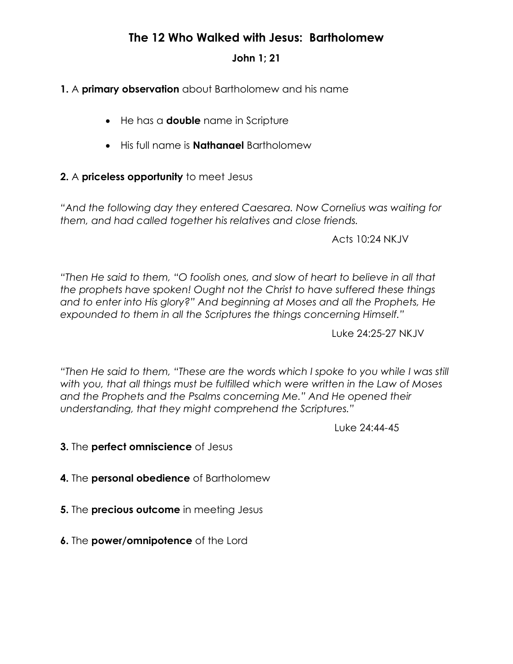# **The 12 Who Walked with Jesus: Bartholomew**

### **John 1; 21**

## **1.** A **primary observation** about Bartholomew and his name

- He has a **double** name in Scripture
- His full name is **Nathanael** Bartholomew

### **2.** A **priceless opportunity** to meet Jesus

*"And the following day they entered Caesarea. Now Cornelius was waiting for them, and had called together his relatives and close friends.*

Acts 10:24 NKJV

*"Then He said to them, "O foolish ones, and slow of heart to believe in all that the prophets have spoken! Ought not the Christ to have suffered these things and to enter into His glory?" And beginning at Moses and all the Prophets, He expounded to them in all the Scriptures the things concerning Himself."*

Luke 24:25-27 NKJV

*"Then He said to them, "These are the words which I spoke to you while I was still with you, that all things must be fulfilled which were written in the Law of Moses and the Prophets and the Psalms concerning Me." And He opened their understanding, that they might comprehend the Scriptures."*

Luke 24:44-45

- **3.** The **perfect omniscience** of Jesus
- **4.** The **personal obedience** of Bartholomew
- **5.** The **precious outcome** in meeting Jesus
- **6.** The **power/omnipotence** of the Lord